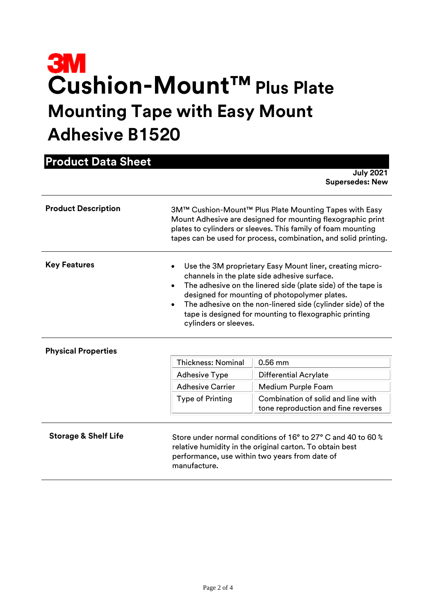# **Cushion-Mount™Plus Plate Mounting Tape with Easy Mount Adhesive B1520**

| <b>Product Data Sheet</b>       |                                                                                                                                                                                                                                                                                                                                                                                                       |                                                                           |  |  |
|---------------------------------|-------------------------------------------------------------------------------------------------------------------------------------------------------------------------------------------------------------------------------------------------------------------------------------------------------------------------------------------------------------------------------------------------------|---------------------------------------------------------------------------|--|--|
|                                 |                                                                                                                                                                                                                                                                                                                                                                                                       | <b>July 2021</b><br><b>Supersedes: New</b>                                |  |  |
| <b>Product Description</b>      | 3M™ Cushion-Mount™ Plus Plate Mounting Tapes with Easy<br>Mount Adhesive are designed for mounting flexographic print<br>plates to cylinders or sleeves. This family of foam mounting<br>tapes can be used for process, combination, and solid printing.                                                                                                                                              |                                                                           |  |  |
| <b>Key Features</b>             | Use the 3M proprietary Easy Mount liner, creating micro-<br>channels in the plate side adhesive surface.<br>The adhesive on the linered side (plate side) of the tape is<br>$\bullet$<br>designed for mounting of photopolymer plates.<br>The adhesive on the non-linered side (cylinder side) of the<br>$\bullet$<br>tape is designed for mounting to flexographic printing<br>cylinders or sleeves. |                                                                           |  |  |
| <b>Physical Properties</b>      |                                                                                                                                                                                                                                                                                                                                                                                                       |                                                                           |  |  |
|                                 | <b>Thickness: Nominal</b>                                                                                                                                                                                                                                                                                                                                                                             | $0.56$ mm                                                                 |  |  |
|                                 | <b>Adhesive Type</b>                                                                                                                                                                                                                                                                                                                                                                                  | <b>Differential Acrylate</b>                                              |  |  |
|                                 | <b>Adhesive Carrier</b>                                                                                                                                                                                                                                                                                                                                                                               | Medium Purple Foam                                                        |  |  |
|                                 | <b>Type of Printing</b>                                                                                                                                                                                                                                                                                                                                                                               | Combination of solid and line with<br>tone reproduction and fine reverses |  |  |
| <b>Storage &amp; Shelf Life</b> | Store under normal conditions of 16° to 27° C and 40 to 60 %<br>relative humidity in the original carton. To obtain best<br>performance, use within two years from date of<br>manufacture.                                                                                                                                                                                                            |                                                                           |  |  |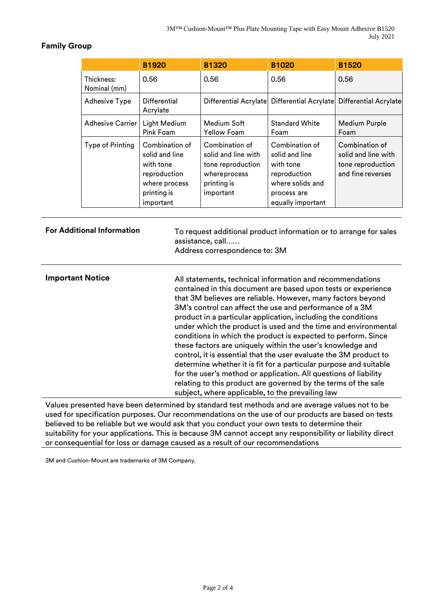# **Family Group**

|                            | <b>B1920</b>                                                                                               | <b>B1320</b>                                                                                           | <b>B1020</b>                                                                                                          | <b>B1520</b>                                                                    |
|----------------------------|------------------------------------------------------------------------------------------------------------|--------------------------------------------------------------------------------------------------------|-----------------------------------------------------------------------------------------------------------------------|---------------------------------------------------------------------------------|
| Thickness:<br>Nominal (mm) | 0.56                                                                                                       | 0.56                                                                                                   | 0.56                                                                                                                  | 0.56                                                                            |
| <b>Adhesive Type</b>       | Differential<br>Acrylate                                                                                   |                                                                                                        |                                                                                                                       | Differential Acrylate Differential Acrylate Differential Acrylate               |
| <b>Adhesive Carrier</b>    | Light Medium<br>Pink Foam                                                                                  | Medium Soft<br><b>Yellow Foam</b>                                                                      | <b>Standard White</b><br>Foam                                                                                         | Medium Purple<br>Foam                                                           |
| Type of Printing           | Combination of<br>solid and line<br>with tone<br>reproduction<br>where process<br>printing is<br>important | Combination of<br>solid and line with<br>tone reproduction<br>whereprocess<br>printing is<br>important | Combination of<br>solid and line<br>with tone<br>reproduction<br>where solids and<br>process are<br>equally important | Combination of<br>solid and line with<br>tone reproduction<br>and fine reverses |

For Additional Information **To request additional product information or to arrange for sales**  assistance, call…… Address correspondence to: 3M **Important Notice** All statements, technical information and recommendations contained in this document are based upon tests or experience that 3M believes are reliable. However, many factors beyond 3M's control can affect the use and performance of a 3M product in a particular application, including the conditions under which the product is used and the time and environmental conditions in which the product is expected to perform. Since these factors are uniquely within the user's knowledge and control, it is essential that the user evaluate the 3M product to determine whether it is fit for a particular purpose and suitable for the user's method or application. All questions of liability relating to this product are governed by the terms of the sale subject, where applicable, to the prevailing law

Values presented have been determined by standard test methods and are average values not to be used for specification purposes. Our recommendations on the use of our products are based on tests believed to be reliable but we would ask that you conduct your own tests to determine their suitability for your applications. This is because 3M cannot accept any responsibility or liability direct or consequential for loss or damage caused as a result of our recommendations

3M and Cushion-Mount are trademarks of 3M Company.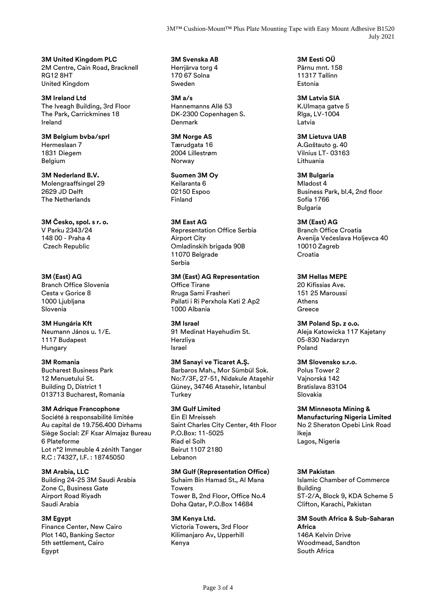3M<sup>™</sup> Cushion-Mount<sup>™</sup> Plus Plate Mounting Tape with Easy Mount Adhesive B1520 July 2021

**3M United Kingdom PLC** 2M Centre, Cain Road, Bracknell RG12 8HT United Kingdom

**3M Ireland Ltd** The Iveagh Building, 3rd Floor The Park, Carrickmines 18 Ireland

**3M Belgium bvba/sprl** Hermeslaan 7 1831 Diegem Belgium

**3M Nederland B.V.** Molengraaffsingel 29 2629 JD Delft The Netherlands

**3M Česko, spol. s r. o.** V Parku 2343/24 148 00 - Praha 4 Czech Republic

**3M (East) AG** Branch Office Slovenia Cesta v Gorice 8 1000 Liubliana Slovenia

**3M Hungária Kft** Neumann János u. 1/E. 1117 Budapest Hungary

**3M Romania** Bucharest Business Park 12 Menuetului St. Building D, District 1 013713 Bucharest, Romania

## **3M Adrique Francophone**

Société à responsabilité limitée Au capital de 19.756.400 Dirhams Siège Social: ZF Ksar Almajaz Bureau 6 Plateforme Lot n°2 Immeuble 4 zénith Tanger R.C : 74327, I.F. : 18745050

**3M Arabia, LLC**

Building 24-25 3M Saudi Arabia Zone C, Business Gate Airport Road Riyadh Saudi Arabia

#### **3M Egypt**

Finance Center, New Cairo Plot 140, Banking Sector 5th settlement, Cairo Egypt

**3M Svenska AB** Herrjärva torg 4 170 67 Solna Sweden

**3M a/s** Hannemanns Allé 53 DK-2300 Copenhagen S. Denmark

**3M Norge AS** Tærudgata 16 2004 Lillestrøm Norway

**Suomen 3M Oy** Keilaranta 6 02150 Espoo Finland

**3M East AG** Representation Office Serbia Airport City Omladinskih brigada 90B 11070 Belgrade Serbia

**3M (East) AG Representation** Office Tirane Rruga Sami Frasheri Pallati i Ri Perxhola Kati 2 Ap2 1000 Albania

**3M Israel** 91 Medinat Hayehudim St. Herzliya Israel

**3M Sanayi ve Ticaret A.Ş.** Barbaros Mah., Mor Sümbül Sok. No:7/3F, 27-51, Nidakule Ataşehir Güney, 34746 Atasehir, Istanbul **Turkey** 

**3M Gulf Limited** Ein El Mreisseh Saint Charles City Center, 4th Floor P.O.Box: 11-5025 Riad el Solh Beirut 1107 2180 Lebanon

**3M Gulf (Representation Office)** Suhaim Bin Hamad St., Al Mana

**Towers** Tower B, 2nd Floor, Office No.4 Doha Qatar, P.O.Box 14684

**3M Kenya Ltd.** Victoria Towers, 3rd Floor Kilimanjaro Av, Upperhill Kenya

**3M Eesti OÜ** Pärnu mnt. 158 11317 Tallinn Estonia

**3M Latvia SIA** K.Ulmana gatve 5 Rīga, LV-1004 Latvia

**3M Lietuva UAB** A.Goštauto g. 40 Vilnius LT- 03163 Lithuania

**3M Bulgaria** Mladost 4 Business Park, bl.4, 2nd floor Sofia 1766 Bulgaria

**3M (East) AG** Branch Office Croatia Avenija Većeslava Holjevca 40 10010 Zagreb Croatia

**3M Hellas MEPE** 20 Kifissias Ave. 151 25 Maroussi Athens Greece

**3M Poland Sp. z o.o.** Aleja Katowicka 117 Kajetany 05-830 Nadarzyn Poland

**3M Slovensko s.r.o**.

Polus Tower 2 Vajnorská 142 Bratislava 83104 Slovakia

**3M Minnesota Mining & Manufacturing Nigeria Limited** No 2 Sheraton Opebi Link Road Ikeja Lagos, Nigeria

### **3M Pakistan**

Islamic Chamber of Commerce Building ST-2/A, Block 9, KDA Scheme 5 Clifton, Karachi, Pakistan

**3M South Africa & Sub-Saharan Africa** 146A Kelvin Drive Woodmead, Sandton South Africa